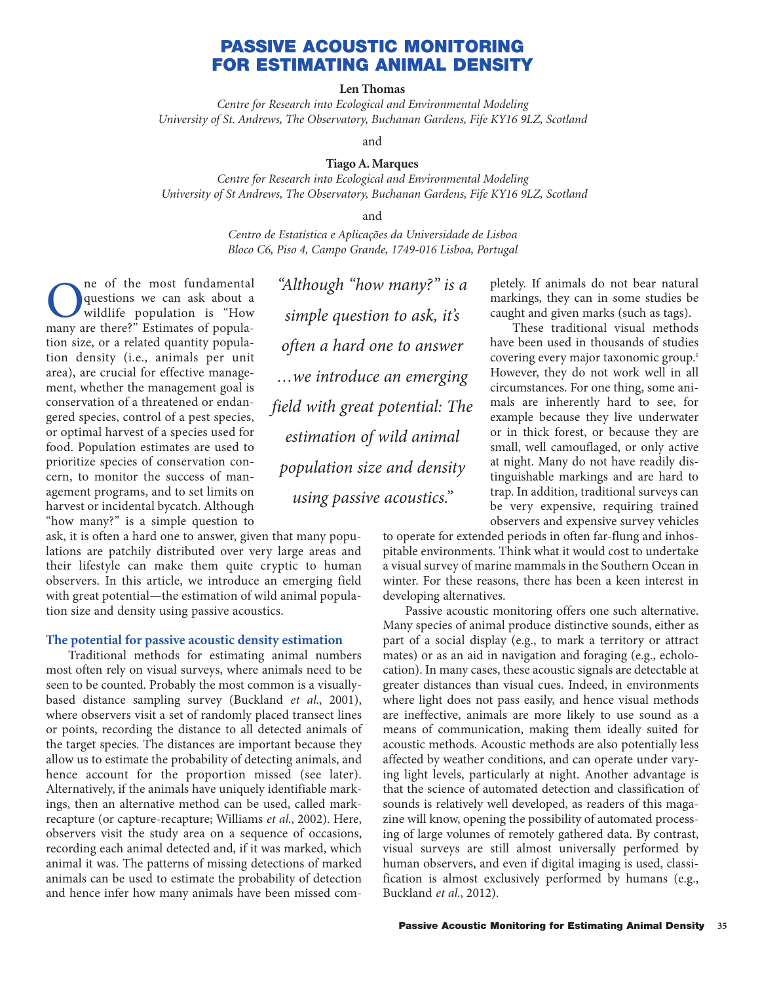# **PASSIVE ACOUSTIC MONITORING FOR ESTIMATING ANIMAL DENSITY**

# **Len Thomas**

*Centre for Research into Ecological and Environmental Modeling University of St. Andrews, The Observatory, Buchanan Gardens, Fife KY16 9LZ, Scotland*

and

# **Tiago A. Marques**

*Centre for Research into Ecological and Environmental Modeling University of St Andrews, The Observatory, Buchanan Gardens, Fife KY16 9LZ, Scotland*

and

*Centro de Estatística e Aplicações da Universidade de Lisboa Bloco C6, Piso 4, Campo Grande, 1749-016 Lisboa, Portugal*

**O** ne of the most fundamental<br>
wildlife population is "How<br>
many are there?" Estimates of populaquestions we can ask about a many are there?" Estimates of population size, or a related quantity population density (i.e., animals per unit area), are crucial for effective management, whether the management goal is conservation of a threatened or endangered species, control of a pest species, or optimal harvest of a species used for food. Population estimates are used to prioritize species of conservation concern, to monitor the success of management programs, and to set limits on harvest or incidental bycatch. Although "how many?" is a simple question to

ask, it is often a hard one to answer, given that many populations are patchily distributed over very large areas and their lifestyle can make them quite cryptic to human observers. In this article, we introduce an emerging field with great potential—the estimation of wild animal population size and density using passive acoustics.

#### **The potential for passive acoustic density estimation**

Traditional methods for estimating animal numbers most often rely on visual surveys, where animals need to be seen to be counted. Probably the most common is a visuallybased distance sampling survey (Buckland *et al.*, 2001), where observers visit a set of randomly placed transect lines or points, recording the distance to all detected animals of the target species. The distances are important because they allow us to estimate the probability of detecting animals, and hence account for the proportion missed (see later). Alternatively, if the animals have uniquely identifiable markings, then an alternative method can be used, called markrecapture (or capture-recapture; Williams *et al.*, 2002). Here, observers visit the study area on a sequence of occasions, recording each animal detected and, if it was marked, which animal it was. The patterns of missing detections of marked animals can be used to estimate the probability of detection and hence infer how many animals have been missed com-

*"Although "how many?" is a simple question to ask, it's often a hard one to answer …we introduce an emerging field with great potential: The estimation of wild animal population size and density using passive acoustics."*

pletely. If animals do not bear natural markings, they can in some studies be caught and given marks (such as tags).

These traditional visual methods have been used in thousands of studies covering every major taxonomic group.<sup>1</sup> However, they do not work well in all circumstances. For one thing, some animals are inherently hard to see, for example because they live underwater or in thick forest, or because they are small, well camouflaged, or only active at night. Many do not have readily distinguishable markings and are hard to trap. In addition, traditional surveys can be very expensive, requiring trained observers and expensive survey vehicles

to operate for extended periods in often far-flung and inhospitable environments. Think what it would cost to undertake a visual survey of marine mammals in the Southern Ocean in winter. For these reasons, there has been a keen interest in developing alternatives.

Passive acoustic monitoring offers one such alternative. Many species of animal produce distinctive sounds, either as part of a social display (e.g., to mark a territory or attract mates) or as an aid in navigation and foraging (e.g., echolocation). In many cases, these acoustic signals are detectable at greater distances than visual cues. Indeed, in environments where light does not pass easily, and hence visual methods are ineffective, animals are more likely to use sound as a means of communication, making them ideally suited for acoustic methods. Acoustic methods are also potentially less affected by weather conditions, and can operate under varying light levels, particularly at night. Another advantage is that the science of automated detection and classification of sounds is relatively well developed, as readers of this magazine will know, opening the possibility of automated processing of large volumes of remotely gathered data. By contrast, visual surveys are still almost universally performed by human observers, and even if digital imaging is used, classification is almost exclusively performed by humans (e.g., Buckland *et al.*, 2012).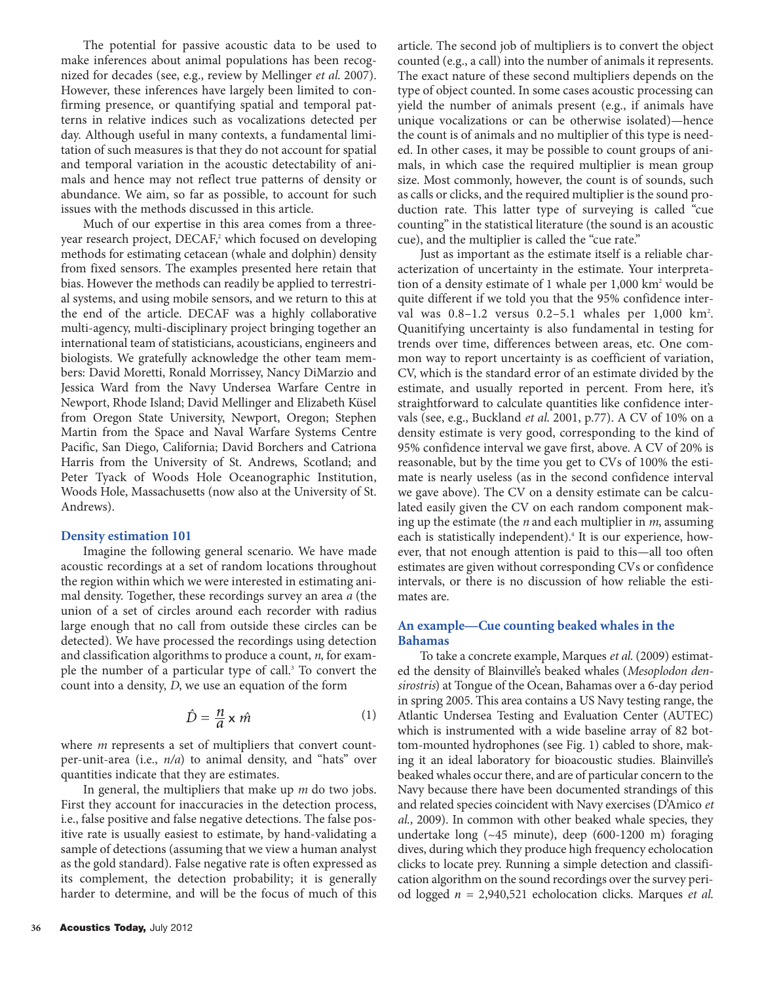The potential for passive acoustic data to be used to make inferences about animal populations has been recognized for decades (see, e.g., review by Mellinger *et al.* 2007). However, these inferences have largely been limited to confirming presence, or quantifying spatial and temporal patterns in relative indices such as vocalizations detected per day. Although useful in many contexts, a fundamental limitation of such measures is that they do not account for spatial and temporal variation in the acoustic detectability of animals and hence may not reflect true patterns of density or abundance. We aim, so far as possible, to account for such issues with the methods discussed in this article.

Much of our expertise in this area comes from a threeyear research project, DECAF,<sup>2</sup> which focused on developing methods for estimating cetacean (whale and dolphin) density from fixed sensors. The examples presented here retain that bias. However the methods can readily be applied to terrestrial systems, and using mobile sensors, and we return to this at the end of the article. DECAF was a highly collaborative multi-agency, multi-disciplinary project bringing together an international team of statisticians, acousticians, engineers and biologists. We gratefully acknowledge the other team members: David Moretti, Ronald Morrissey, Nancy DiMarzio and Jessica Ward from the Navy Undersea Warfare Centre in Newport, Rhode Island; David Mellinger and Elizabeth Küsel from Oregon State University, Newport, Oregon; Stephen Martin from the Space and Naval Warfare Systems Centre Pacific, San Diego, California; David Borchers and Catriona Harris from the University of St. Andrews, Scotland; and Peter Tyack of Woods Hole Oceanographic Institution, Woods Hole, Massachusetts (now also at the University of St. Andrews).

#### **Density estimation 101**

Imagine the following general scenario. We have made acoustic recordings at a set of random locations throughout the region within which we were interested in estimating animal density. Together, these recordings survey an area *a* (the union of a set of circles around each recorder with radius large enough that no call from outside these circles can be detected). We have processed the recordings using detection and classification algorithms to produce a count, *n*, for example the number of a particular type of call.3 To convert the count into a density, *D*, we use an equation of the form

$$
\hat{D} = \frac{n}{a} \times \hat{m} \tag{1}
$$

where *m* represents a set of multipliers that convert countper-unit-area (i.e., *n/a*) to animal density, and "hats" over quantities indicate that they are estimates.

In general, the multipliers that make up *m* do two jobs. First they account for inaccuracies in the detection process, i.e., false positive and false negative detections. The false positive rate is usually easiest to estimate, by hand-validating a sample of detections (assuming that we view a human analyst as the gold standard). False negative rate is often expressed as its complement, the detection probability; it is generally harder to determine, and will be the focus of much of this article. The second job of multipliers is to convert the object counted (e.g., a call) into the number of animals it represents. The exact nature of these second multipliers depends on the type of object counted. In some cases acoustic processing can yield the number of animals present (e.g., if animals have unique vocalizations or can be otherwise isolated)—hence the count is of animals and no multiplier of this type is needed. In other cases, it may be possible to count groups of animals, in which case the required multiplier is mean group size. Most commonly, however, the count is of sounds, such as calls or clicks, and the required multiplier is the sound production rate. This latter type of surveying is called "cue counting" in the statistical literature (the sound is an acoustic cue), and the multiplier is called the "cue rate."

Just as important as the estimate itself is a reliable characterization of uncertainty in the estimate. Your interpretation of a density estimate of 1 whale per 1,000 km<sup>2</sup> would be quite different if we told you that the 95% confidence interval was 0.8–1.2 versus 0.2–5.1 whales per 1,000 km2 . Quanitifying uncertainty is also fundamental in testing for trends over time, differences between areas, etc. One common way to report uncertainty is as coefficient of variation, CV, which is the standard error of an estimate divided by the estimate, and usually reported in percent. From here, it's straightforward to calculate quantities like confidence intervals (see, e.g., Buckland *et al.* 2001, p.77). A CV of 10% on a density estimate is very good, corresponding to the kind of 95% confidence interval we gave first, above. A CV of 20% is reasonable, but by the time you get to CVs of 100% the estimate is nearly useless (as in the second confidence interval we gave above). The CV on a density estimate can be calculated easily given the CV on each random component making up the estimate (the *n* and each multiplier in *m*, assuming each is statistically independent).<sup>4</sup> It is our experience, however, that not enough attention is paid to this—all too often estimates are given without corresponding CVs or confidence intervals, or there is no discussion of how reliable the estimates are.

### **An example—Cue counting beaked whales in the Bahamas**

To take a concrete example, Marques *et al.* (2009) estimated the density of Blainville's beaked whales (*Mesoplodon densirostris*) at Tongue of the Ocean, Bahamas over a 6-day period in spring 2005. This area contains a US Navy testing range, the Atlantic Undersea Testing and Evaluation Center (AUTEC) which is instrumented with a wide baseline array of 82 bottom-mounted hydrophones (see Fig. 1) cabled to shore, making it an ideal laboratory for bioacoustic studies. Blainville's beaked whales occur there, and are of particular concern to the Navy because there have been documented strandings of this and related species coincident with Navy exercises (D'Amico *et al.,* 2009). In common with other beaked whale species, they undertake long (~45 minute), deep (600-1200 m) foraging dives, during which they produce high frequency echolocation clicks to locate prey. Running a simple detection and classification algorithm on the sound recordings over the survey period logged = 2,940,521 echolocation clicks. Marques *et al.*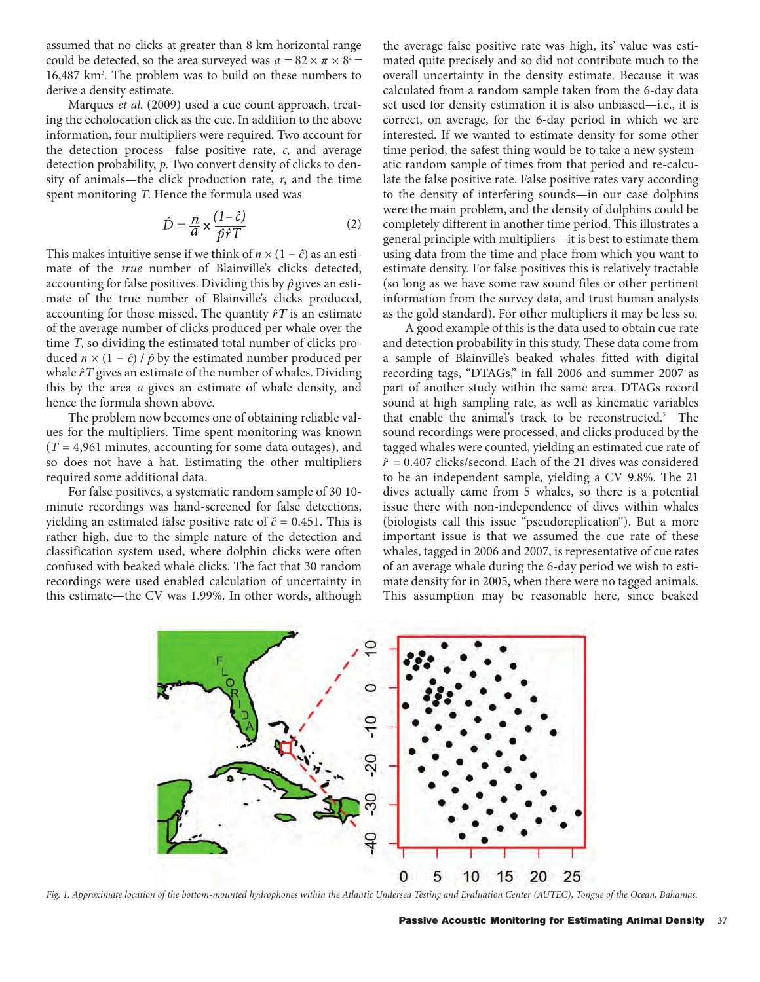assumed that no clicks at greater than 8 km horizontal range could be detected, so the area surveyed was  $a = 82 \times \pi \times 8^2 =$ 16,487 km2 . The problem was to build on these numbers to derive a density estimate.

Marques *et al.* (2009) used a cue count approach, treating the echolocation click as the cue. In addition to the above information, four multipliers were required. Two account for the detection process—false positive rate, *c*, and average detection probability, *p*. Two convert density of clicks to density of animals—the click production rate,  $r$ , and the time spent monitoring *T*. Hence the formula used was

$$
\hat{D} = \frac{n}{a} \times \frac{(1 - \hat{c})}{\hat{p}\hat{r}T}
$$
 (2)

This makes intuitive sense if we think of  $n \times (1 - \hat{c})$  as an estimate of the *true* number of Blainville's clicks detected, accounting for false positives. Dividing this by  $\hat{p}$  gives an estimate of the true number of Blainville's clicks produced, accounting for those missed. The quantity  $\hat{r}$  is an estimate of the average number of clicks produced per whale over the time *T*, so dividing the estimated total number of clicks produced  $n \times (1 - \hat{c}) / \hat{p}$  by the estimated number produced per whale *ˆT* gives an estimate of the number of whales. Dividing this by the area *a* gives an estimate of whale density, and hence the formula shown above.

The problem now becomes one of obtaining reliable values for the multipliers. Time spent monitoring was known (*T* = 4,961 minutes, accounting for some data outages), and so does not have a hat. Estimating the other multipliers required some additional data.

For false positives, a systematic random sample of 30 10 minute recordings was hand-screened for false detections, yielding an estimated false positive rate of  $\hat{c} = 0.451$ . This is rather high, due to the simple nature of the detection and classification system used, where dolphin clicks were often confused with beaked whale clicks. The fact that 30 random recordings were used enabled calculation of uncertainty in this estimate—the CV was 1.99%. In other words, although

the average false positive rate was high, its' value was estimated quite precisely and so did not contribute much to the overall uncertainty in the density estimate. Because it was calculated from a random sample taken from the 6-day data set used for density estimation it is also unbiased—i.e., it is correct, on average, for the 6-day period in which we are interested. If we wanted to estimate density for some other time period, the safest thing would be to take a new systematic random sample of times from that period and re-calculate the false positive rate. False positive rates vary according to the density of interfering sounds—in our case dolphins were the main problem, and the density of dolphins could be completely different in another time period. This illustrates a general principle with multipliers—it is best to estimate them using data from the time and place from which you want to estimate density. For false positives this is relatively tractable (so long as we have some raw sound files or other pertinent information from the survey data, and trust human analysts as the gold standard). For other multipliers it may be less so.

A good example of this is the data used to obtain cue rate and detection probability in this study. These data come from a sample of Blainville's beaked whales fitted with digital recording tags, "DTAGs," in fall 2006 and summer 2007 as part of another study within the same area. DTAGs record sound at high sampling rate, as well as kinematic variables that enable the animal's track to be reconstructed.<sup>5</sup> The sound recordings were processed, and clicks produced by the tagged whales were counted, yielding an estimated cue rate of  $\hat{r}$  = 0.407 clicks/second. Each of the 21 dives was considered to be an independent sample, yielding a CV 9.8%. The 21 dives actually came from 5 whales, so there is a potential issue there with non-independence of dives within whales (biologists call this issue "pseudoreplication"). But a more important issue is that we assumed the cue rate of these whales, tagged in 2006 and 2007, is representative of cue rates of an average whale during the 6-day period we wish to estimate density for in 2005, when there were no tagged animals. This assumption may be reasonable here, since beaked



*Fig. 1. Approximate location of the bottom-mounted hydrophones within the Atlantic Undersea Testing and Evaluation Center (AUTEC), Tongue of the Ocean, Bahamas.*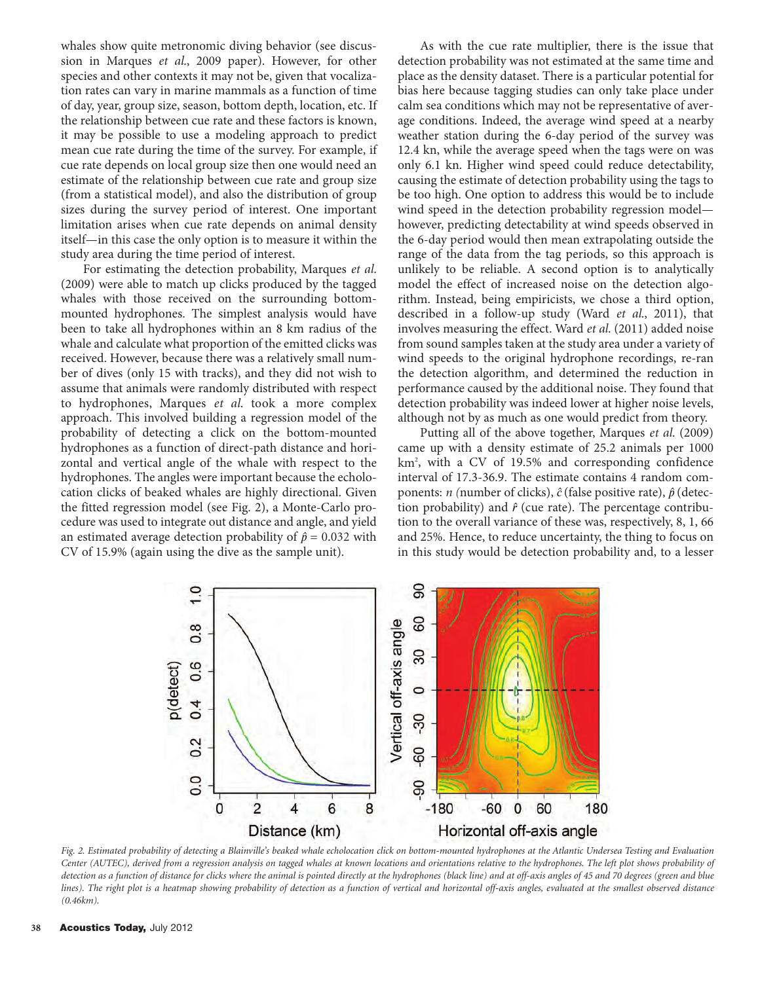whales show quite metronomic diving behavior (see discussion in Marques *et al.*, 2009 paper). However, for other species and other contexts it may not be, given that vocalization rates can vary in marine mammals as a function of time of day, year, group size, season, bottom depth, location, etc. If the relationship between cue rate and these factors is known, it may be possible to use a modeling approach to predict mean cue rate during the time of the survey. For example, if cue rate depends on local group size then one would need an estimate of the relationship between cue rate and group size (from a statistical model), and also the distribution of group sizes during the survey period of interest. One important limitation arises when cue rate depends on animal density itself—in this case the only option is to measure it within the study area during the time period of interest.

For estimating the detection probability, Marques *et al.* (2009) were able to match up clicks produced by the tagged whales with those received on the surrounding bottommounted hydrophones. The simplest analysis would have been to take all hydrophones within an 8 km radius of the whale and calculate what proportion of the emitted clicks was received. However, because there was a relatively small number of dives (only 15 with tracks), and they did not wish to assume that animals were randomly distributed with respect to hydrophones, Marques *et al.* took a more complex approach. This involved building a regression model of the probability of detecting a click on the bottom-mounted hydrophones as a function of direct-path distance and horizontal and vertical angle of the whale with respect to the hydrophones. The angles were important because the echolocation clicks of beaked whales are highly directional. Given the fitted regression model (see Fig. 2), a Monte-Carlo procedure was used to integrate out distance and angle, and yield an estimated average detection probability of  $\hat{p} = 0.032$  with CV of 15.9% (again using the dive as the sample unit).

As with the cue rate multiplier, there is the issue that detection probability was not estimated at the same time and place as the density dataset. There is a particular potential for bias here because tagging studies can only take place under calm sea conditions which may not be representative of average conditions. Indeed, the average wind speed at a nearby weather station during the 6-day period of the survey was 12.4 kn, while the average speed when the tags were on was only 6.1 kn. Higher wind speed could reduce detectability, causing the estimate of detection probability using the tags to be too high. One option to address this would be to include wind speed in the detection probability regression model however, predicting detectability at wind speeds observed in the 6-day period would then mean extrapolating outside the range of the data from the tag periods, so this approach is unlikely to be reliable. A second option is to analytically model the effect of increased noise on the detection algorithm. Instead, being empiricists, we chose a third option, described in a follow-up study (Ward *et al.*, 2011), that involves measuring the effect. Ward *et al.* (2011) added noise from sound samples taken at the study area under a variety of wind speeds to the original hydrophone recordings, re-ran the detection algorithm, and determined the reduction in performance caused by the additional noise. They found that detection probability was indeed lower at higher noise levels, although not by as much as one would predict from theory.

Putting all of the above together, Marques *et al.* (2009) came up with a density estimate of 25.2 animals per 1000 km2 , with a CV of 19.5% and corresponding confidence interval of 17.3-36.9. The estimate contains 4 random components: *n (*number of clicks), *ˆ* (false positive rate), *ˆ* (detection probability) and  $\hat{r}$  (cue rate). The percentage contribution to the overall variance of these was, respectively, 8, 1, 66 and 25%. Hence, to reduce uncertainty, the thing to focus on in this study would be detection probability and, to a lesser



*Fig. 2. Estimated probability of detecting a Blainville's beaked whale echolocation click on bottom-mounted hydrophones at the Atlantic Undersea Testing and Evaluation Center (AUTEC), derived from a regression analysis on tagged whales at known locations and orientations relative to the hydrophones. The left plot shows probability of detection as a function of distance for clicks where the animal is pointed directly at the hydrophones (black line) and at off-axis angles of 45 and 70 degrees (green and blue lines). The right plot is a heatmap showing probability of detection as a function of vertical and horizontal off-axis angles, evaluated at the smallest observed distance (0.46km).*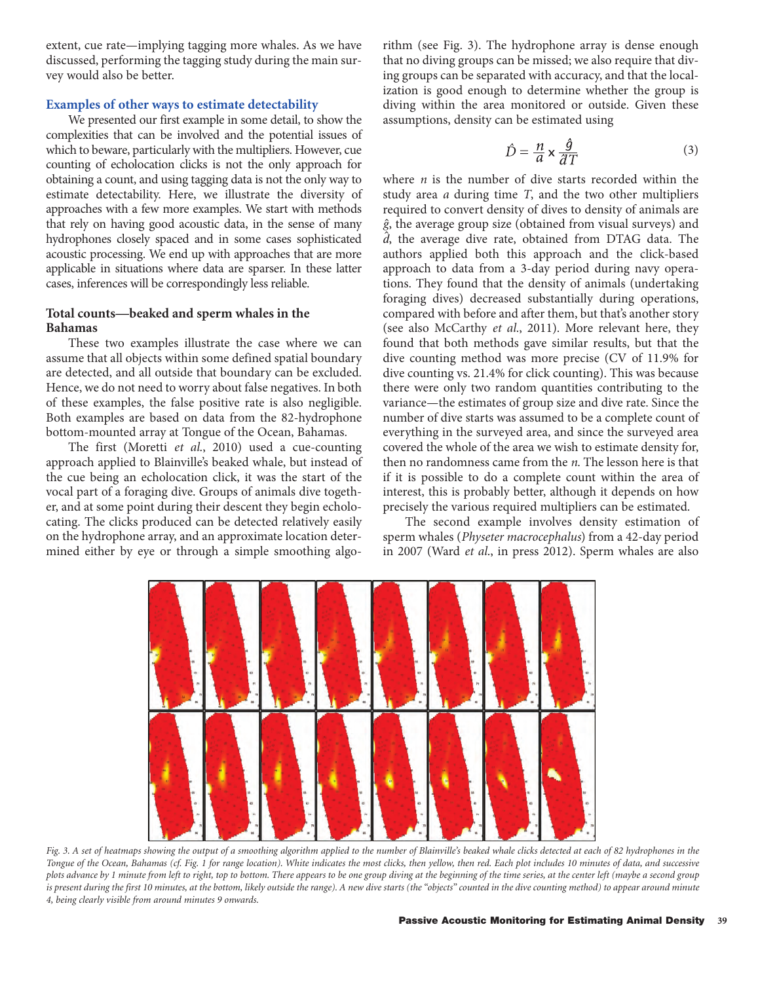extent, cue rate—implying tagging more whales. As we have discussed, performing the tagging study during the main survey would also be better.

#### **Examples of other ways to estimate detectability**

We presented our first example in some detail, to show the complexities that can be involved and the potential issues of which to beware, particularly with the multipliers. However, cue counting of echolocation clicks is not the only approach for obtaining a count, and using tagging data is not the only way to estimate detectability. Here, we illustrate the diversity of approaches with a few more examples. We start with methods that rely on having good acoustic data, in the sense of many hydrophones closely spaced and in some cases sophisticated acoustic processing. We end up with approaches that are more applicable in situations where data are sparser. In these latter cases, inferences will be correspondingly less reliable.

### **Total counts—beaked and sperm whales in the Bahamas**

These two examples illustrate the case where we can assume that all objects within some defined spatial boundary are detected, and all outside that boundary can be excluded. Hence, we do not need to worry about false negatives. In both of these examples, the false positive rate is also negligible. Both examples are based on data from the 82-hydrophone bottom-mounted array at Tongue of the Ocean, Bahamas.

The first (Moretti *et al.*, 2010) used a cue-counting approach applied to Blainville's beaked whale, but instead of the cue being an echolocation click, it was the start of the vocal part of a foraging dive. Groups of animals dive together, and at some point during their descent they begin echolocating. The clicks produced can be detected relatively easily on the hydrophone array, and an approximate location determined either by eye or through a simple smoothing algorithm (see Fig. 3). The hydrophone array is dense enough that no diving groups can be missed; we also require that diving groups can be separated with accuracy, and that the localization is good enough to determine whether the group is diving within the area monitored or outside. Given these assumptions, density can be estimated using

$$
\hat{D} = \frac{n}{a} \times \frac{\hat{g}}{\partial T} \tag{3}
$$

where *n* is the number of dive starts recorded within the study area *a* during time *T*, and the two other multipliers required to convert density of dives to density of animals are  $\hat{g}$ , the average group size (obtained from visual surveys) and  $\hat{d}$ , the average dive rate, obtained from DTAG data. The authors applied both this approach and the click-based approach to data from a 3-day period during navy operations. They found that the density of animals (undertaking foraging dives) decreased substantially during operations, compared with before and after them, but that's another story (see also McCarthy *et al.*, 2011). More relevant here, they found that both methods gave similar results, but that the dive counting method was more precise (CV of 11.9% for dive counting vs. 21.4% for click counting). This was because there were only two random quantities contributing to the variance—the estimates of group size and dive rate. Since the number of dive starts was assumed to be a complete count of everything in the surveyed area, and since the surveyed area covered the whole of the area we wish to estimate density for, then no randomness came from the *n*. The lesson here is that if it is possible to do a complete count within the area of interest, this is probably better, although it depends on how precisely the various required multipliers can be estimated.

The second example involves density estimation of sperm whales (*Physeter macrocephalus*) from a 42-day period in 2007 (Ward *et al.*, in press 2012). Sperm whales are also



*Fig. 3. A set of heatmaps showing the output of a smoothing algorithm applied to the number of Blainville's beaked whale clicks detected at each of 82 hydrophones in the Tongue of the Ocean, Bahamas (cf. Fig. 1 for range location). White indicates the most clicks, then yellow, then red. Each plot includes 10 minutes of data, and successive plots advance by 1 minute from left to right, top to bottom. There appears to be one group diving at the beginning of the time series, at the center left (maybe a second group is present during the first 10 minutes, at the bottom, likely outside the range). A new dive starts (the "objects" counted in the dive counting method) to appear around minute 4, being clearly visible from around minutes 9 onwards.*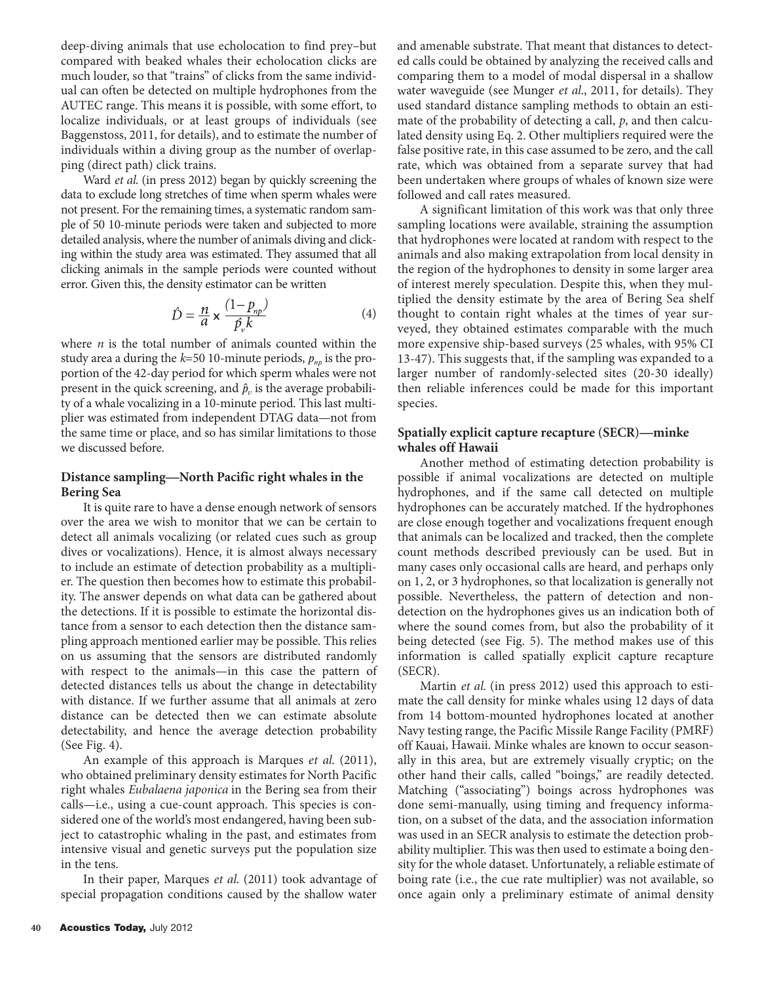deep-diving animals that use echolocation to find prey–but compared with beaked whales their echolocation clicks are much louder, so that "trains" of clicks from the same individual can often be detected on multiple hydrophones from the AUTEC range. This means it is possible, with some effort, to localize individuals, or at least groups of individuals (see Baggenstoss, 2011, for details), and to estimate the number of individuals within a diving group as the number of overlapping (direct path) click trains.

Ward *et al.* (in press 2012) began by quickly screening the data to exclude long stretches of time when sperm whales were not present. For the remaining times, a systematic random sample of 50 10-minute periods were taken and subjected to more detailed analysis, where the number of animals diving and clicking within the study area was estimated. They assumed that all clicking animals in the sample periods were counted without error. Given this, the density estimator can be written

$$
\hat{D} = \frac{n}{a} \times \frac{(1 - p_{np})}{\hat{p}_v k} \tag{4}
$$

where *n* is the total number of animals counted within the study area a during the  $k=50$  10-minute periods,  $p_{np}$  is the proportion of the 42-day period for which sperm whales were not present in the quick screening, and  $\hat{p}_n$  is the average probability of a whale vocalizing in a 10-minute period. This last multiplier was estimated from independent DTAG data—not from the same time or place, and so has similar limitations to those we discussed before.

# **Distance sampling—North Pacific right whales in the Bering Sea**

It is quite rare to have a dense enough network of sensors over the area we wish to monitor that we can be certain to detect all animals vocalizing (or related cues such as group dives or vocalizations). Hence, it is almost always necessary to include an estimate of detection probability as a multiplier. The question then becomes how to estimate this probability. The answer depends on what data can be gathered about the detections. If it is possible to estimate the horizontal distance from a sensor to each detection then the distance sampling approach mentioned earlier may be possible. This relies on us assuming that the sensors are distributed randomly with respect to the animals—in this case the pattern of detected distances tells us about the change in detectability with distance. If we further assume that all animals at zero distance can be detected then we can estimate absolute detectability, and hence the average detection probability (See Fig. 4).

An example of this approach is Marques *et al.* (2011), who obtained preliminary density estimates for North Pacific right whales *Eubalaena japonica* in the Bering sea from their calls—i.e., using a cue-count approach. This species is considered one of the world's most endangered, having been subject to catastrophic whaling in the past, and estimates from intensive visual and genetic surveys put the population size in the tens.

In their paper, Marques *et al.* (2011) took advantage of special propagation conditions caused by the shallow water

and amenable substrate. That meant that distances to detected calls could be obtained by analyzing the received calls and comparing them to a model of modal dispersal in a shallow water waveguide (see Munger *et al.*, 2011, for details). They used standard distance sampling methods to obtain an estimate of the probability of detecting a call, *p*, and then calculated density using Eq. 2. Other multipliers required were the false positive rate, in this case assumed to be zero, and the call rate, which was obtained from a separate survey that had been undertaken where groups of whales of known size were followed and call rates measured.

A significant limitation of this work was that only three sampling locations were available, straining the assumption that hydrophones were located at random with respect to the animals and also making extrapolation from local density in the region of the hydrophones to density in some larger area of interest merely speculation. Despite this, when they multiplied the density estimate by the area of Bering Sea shelf thought to contain right whales at the times of year surveyed, they obtained estimates comparable with the much more expensive ship-based surveys (25 whales, with 95% CI 13-47). This suggests that, if the sampling was expanded to a larger number of randomly-selected sites (20-30 ideally) then reliable inferences could be made for this important species.

# **Spatially explicit capture recapture (SECR)—minke whales off Hawaii**

Another method of estimating detection probability is possible if animal vocalizations are detected on multiple hydrophones, and if the same call detected on multiple hydrophones can be accurately matched. If the hydrophones are close enough together and vocalizations frequent enough that animals can be localized and tracked, then the complete count methods described previously can be used. But in many cases only occasional calls are heard, and perhaps only on 1, 2, or 3 hydrophones, so that localization is generally not possible. Nevertheless, the pattern of detection and nondetection on the hydrophones gives us an indication both of where the sound comes from, but also the probability of it being detected (see Fig. 5). The method makes use of this information is called spatially explicit capture recapture (SECR).

Martin *et al*. (in press 2012) used this approach to estimate the call density for minke whales using 12 days of data from 14 bottom-mounted hydrophones located at another Navy testing range, the Pacific Missile Range Facility (PMRF) off Kauai, Hawaii. Minke whales are known to occur seasonally in this area, but are extremely visually cryptic; on the other hand their calls, called "boings," are readily detected. Matching ("associating") boings across hydrophones was done semi-manually, using timing and frequency information, on a subset of the data, and the association information was used in an SECR analysis to estimate the detection probability multiplier. This was then used to estimate a boing density for the whole dataset. Unfortunately, a reliable estimate of boing rate (i.e., the cue rate multiplier) was not available, so once again only a preliminary estimate of animal density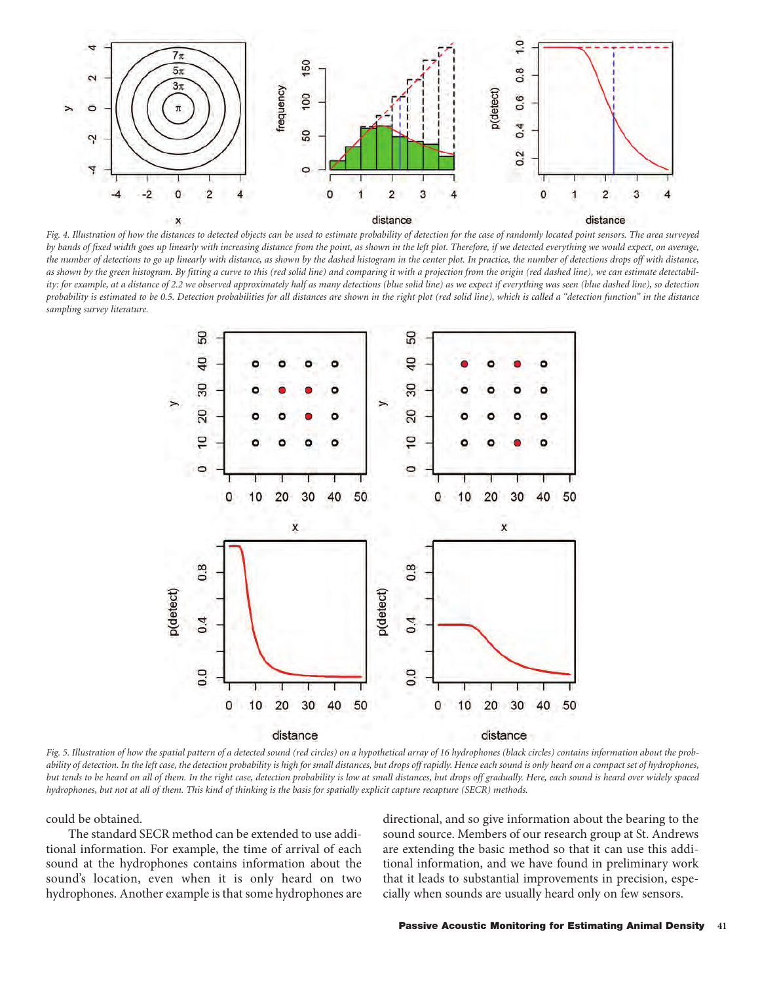

*Fig. 4. Illustration of how the distances to detected objects can be used to estimate probability of detection for the case of randomly located point sensors. The area surveyed by bands of fixed width goes up linearly with increasing distance from the point, as shown in the left plot. Therefore, if we detected everything we would expect, on average, the number of detections to go up linearly with distance, as shown by the dashed histogram in the center plot. In practice, the number of detections drops off with distance,* as shown by the green histogram. By fitting a curve to this (red solid line) and comparing it with a projection from the origin (red dashed line), we can estimate detectabil*ity: for example, at a distance of 2.2 we observed approximately half as many detections (blue solid line) as we expect if everything was seen (blue dashed line), so detection probability is estimated to be 0.5. Detection probabilities for all distances are shown in the right plot (red solid line), which is called a "detection function" in the distance sampling survey literature.*



*Fig. 5. Illustration of how the spatial pattern of a detected sound (red circles) on a hypothetical array of 16 hydrophones (black circles) contains information about the probability of detection. In the left case, the detection probability is high for small distances, but drops off rapidly. Hence each sound is only heard on a compact set of hydrophones, but tends to be heard on all of them. In the right case, detection probability is low at small distances, but drops off gradually. Here, each sound is heard over widely spaced hydrophones, but not at all of them. This kind of thinking is the basis for spatially explicit capture recapture (SECR) methods.*

could be obtained.

The standard SECR method can be extended to use additional information. For example, the time of arrival of each sound at the hydrophones contains information about the sound's location, even when it is only heard on two hydrophones. Another example is that some hydrophones are directional, and so give information about the bearing to the sound source. Members of our research group at St. Andrews are extending the basic method so that it can use this additional information, and we have found in preliminary work that it leads to substantial improvements in precision, especially when sounds are usually heard only on few sensors.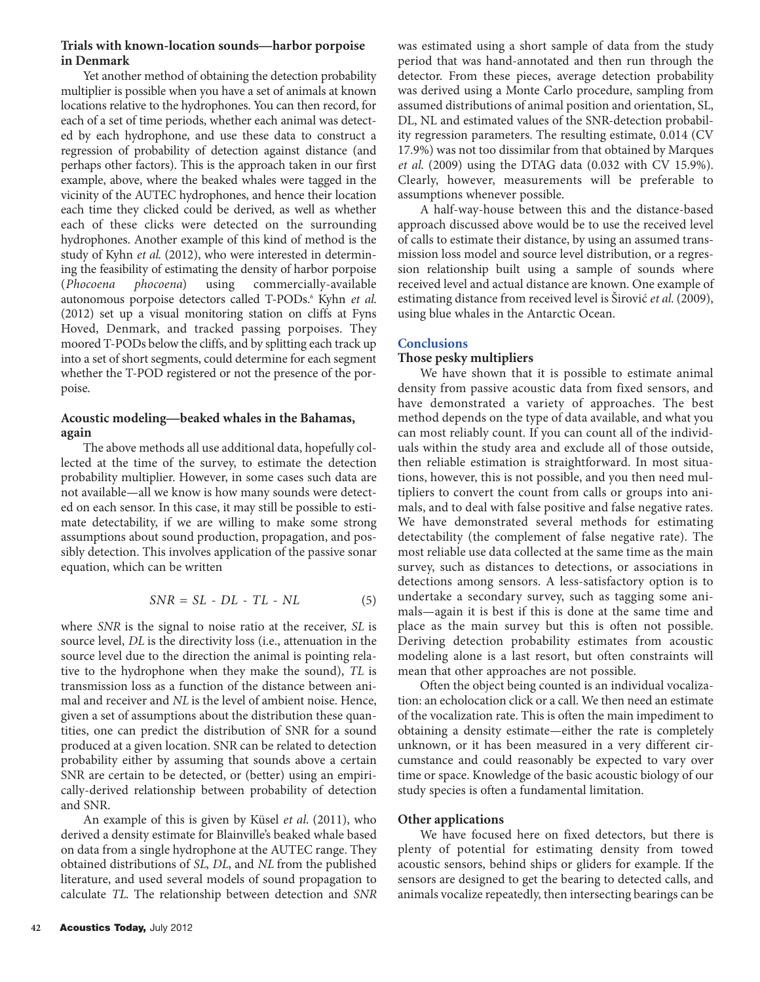### **Trials with known-location sounds—harbor porpoise in Denmark**

Yet another method of obtaining the detection probability multiplier is possible when you have a set of animals at known locations relative to the hydrophones. You can then record, for each of a set of time periods, whether each animal was detected by each hydrophone, and use these data to construct a regression of probability of detection against distance (and perhaps other factors). This is the approach taken in our first example, above, where the beaked whales were tagged in the vicinity of the AUTEC hydrophones, and hence their location each time they clicked could be derived, as well as whether each of these clicks were detected on the surrounding hydrophones. Another example of this kind of method is the study of Kyhn *et al.* (2012), who were interested in determining the feasibility of estimating the density of harbor porpoise (*Phocoena phocoena*) using commercially-available autonomous porpoise detectors called T-PODs.<sup>6</sup> Kyhn et al. (2012) set up a visual monitoring station on cliffs at Fyns Hoved, Denmark, and tracked passing porpoises. They moored T-PODs below the cliffs, and by splitting each track up into a set of short segments, could determine for each segment whether the T-POD registered or not the presence of the porpoise.

# **Acoustic modeling—beaked whales in the Bahamas, again**

The above methods all use additional data, hopefully collected at the time of the survey, to estimate the detection probability multiplier. However, in some cases such data are not available—all we know is how many sounds were detected on each sensor. In this case, it may still be possible to estimate detectability, if we are willing to make some strong assumptions about sound production, propagation, and possibly detection. This involves application of the passive sonar equation, which can be written

$$
SNR = SL - DL - TL - NL \tag{5}
$$

where *SNR* is the signal to noise ratio at the receiver, *SL* is source level, *DL* is the directivity loss (i.e., attenuation in the source level due to the direction the animal is pointing relative to the hydrophone when they make the sound), *TL* is transmission loss as a function of the distance between animal and receiver and *NL* is the level of ambient noise. Hence, given a set of assumptions about the distribution these quantities, one can predict the distribution of SNR for a sound produced at a given location. SNR can be related to detection probability either by assuming that sounds above a certain SNR are certain to be detected, or (better) using an empirically-derived relationship between probability of detection and SNR.

An example of this is given by Küsel *et al.* (2011), who derived a density estimate for Blainville's beaked whale based on data from a single hydrophone at the AUTEC range. They obtained distributions of *SL*, *DL,* and *NL* from the published literature, and used several models of sound propagation to calculate *TL*. The relationship between detection and *SNR* was estimated using a short sample of data from the study period that was hand-annotated and then run through the detector. From these pieces, average detection probability was derived using a Monte Carlo procedure, sampling from assumed distributions of animal position and orientation, SL, DL, NL and estimated values of the SNR-detection probability regression parameters. The resulting estimate, 0.014 (CV 17.9%) was not too dissimilar from that obtained by Marques *et al.* (2009) using the DTAG data (0.032 with CV 15.9%). Clearly, however, measurements will be preferable to assumptions whenever possible.

A half-way-house between this and the distance-based approach discussed above would be to use the received level of calls to estimate their distance, by using an assumed transmission loss model and source level distribution, or a regression relationship built using a sample of sounds where received level and actual distance are known. One example of estimating distance from received level is Širović *et al.* (2009), using blue whales in the Antarctic Ocean.

# **Conclusions**

### **Those pesky multipliers**

We have shown that it is possible to estimate animal density from passive acoustic data from fixed sensors, and have demonstrated a variety of approaches. The best method depends on the type of data available, and what you can most reliably count. If you can count all of the individuals within the study area and exclude all of those outside, then reliable estimation is straightforward. In most situations, however, this is not possible, and you then need multipliers to convert the count from calls or groups into animals, and to deal with false positive and false negative rates. We have demonstrated several methods for estimating detectability (the complement of false negative rate). The most reliable use data collected at the same time as the main survey, such as distances to detections, or associations in detections among sensors. A less-satisfactory option is to undertake a secondary survey, such as tagging some animals—again it is best if this is done at the same time and place as the main survey but this is often not possible. Deriving detection probability estimates from acoustic modeling alone is a last resort, but often constraints will mean that other approaches are not possible.

Often the object being counted is an individual vocalization: an echolocation click or a call. We then need an estimate of the vocalization rate. This is often the main impediment to obtaining a density estimate—either the rate is completely unknown, or it has been measured in a very different circumstance and could reasonably be expected to vary over time or space. Knowledge of the basic acoustic biology of our study species is often a fundamental limitation.

# **Other applications**

We have focused here on fixed detectors, but there is plenty of potential for estimating density from towed acoustic sensors, behind ships or gliders for example. If the sensors are designed to get the bearing to detected calls, and animals vocalize repeatedly, then intersecting bearings can be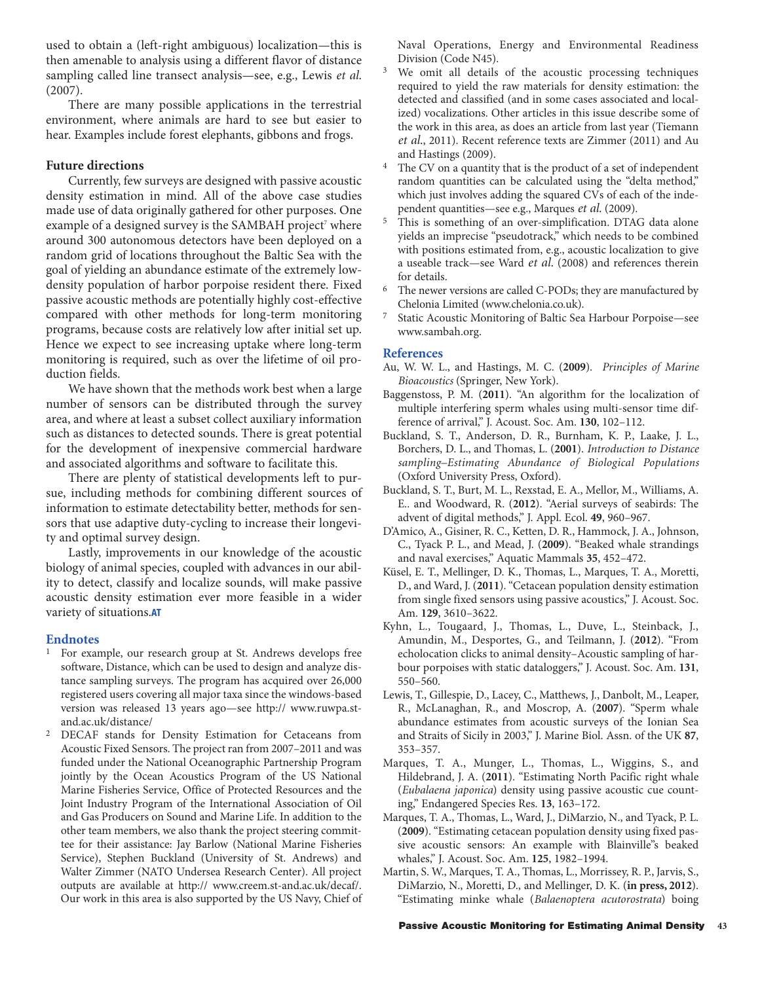used to obtain a (left-right ambiguous) localization—this is then amenable to analysis using a different flavor of distance sampling called line transect analysis—see, e.g., Lewis *et al.* (2007).

There are many possible applications in the terrestrial environment, where animals are hard to see but easier to hear. Examples include forest elephants, gibbons and frogs.

#### **Future directions**

Currently, few surveys are designed with passive acoustic density estimation in mind. All of the above case studies made use of data originally gathered for other purposes. One example of a designed survey is the SAMBAH project<sup>7</sup> where around 300 autonomous detectors have been deployed on a random grid of locations throughout the Baltic Sea with the goal of yielding an abundance estimate of the extremely lowdensity population of harbor porpoise resident there. Fixed passive acoustic methods are potentially highly cost-effective compared with other methods for long-term monitoring programs, because costs are relatively low after initial set up. Hence we expect to see increasing uptake where long-term monitoring is required, such as over the lifetime of oil production fields.

We have shown that the methods work best when a large number of sensors can be distributed through the survey area, and where at least a subset collect auxiliary information such as distances to detected sounds. There is great potential for the development of inexpensive commercial hardware and associated algorithms and software to facilitate this.

There are plenty of statistical developments left to pursue, including methods for combining different sources of information to estimate detectability better, methods for sensors that use adaptive duty-cycling to increase their longevity and optimal survey design.

Lastly, improvements in our knowledge of the acoustic biology of animal species, coupled with advances in our ability to detect, classify and localize sounds, will make passive acoustic density estimation ever more feasible in a wider variety of situations.**AT**

#### **Endnotes**

- <sup>1</sup> For example, our research group at St. Andrews develops free software, Distance, which can be used to design and analyze distance sampling surveys. The program has acquired over 26,000 registered users covering all major taxa since the windows-based version was released 13 years ago—see http:// www.ruwpa.st-
- and.ac.uk/distance/ 2 DECAF stands for Density Estimation for Cetaceans from Acoustic Fixed Sensors. The project ran from 2007–2011 and was funded under the National Oceanographic Partnership Program jointly by the Ocean Acoustics Program of the US National Marine Fisheries Service, Office of Protected Resources and the Joint Industry Program of the International Association of Oil and Gas Producers on Sound and Marine Life. In addition to the other team members, we also thank the project steering committee for their assistance: Jay Barlow (National Marine Fisheries Service), Stephen Buckland (University of St. Andrews) and Walter Zimmer (NATO Undersea Research Center). All project outputs are available at http:// www.creem.st-and.ac.uk/decaf/. Our work in this area is also supported by the US Navy, Chief of

Naval Operations, Energy and Environmental Readiness Division (Code N45).

- <sup>3</sup> We omit all details of the acoustic processing techniques required to yield the raw materials for density estimation: the detected and classified (and in some cases associated and localized) vocalizations. Other articles in this issue describe some of the work in this area, as does an article from last year (Tiemann *et al.*, 2011). Recent reference texts are Zimmer (2011) and Au and Hastings (2009).
- 4 The CV on a quantity that is the product of a set of independent random quantities can be calculated using the "delta method," which just involves adding the squared CVs of each of the independent quantities—see e.g., Marques *et al.* (2009).
- This is something of an over-simplification. DTAG data alone yields an imprecise "pseudotrack," which needs to be combined with positions estimated from, e.g., acoustic localization to give a useable track—see Ward *et al.* (2008) and references therein for details.
- 6 The newer versions are called C-PODs; they are manufactured by Chelonia Limited (www.chelonia.co.uk).
- 7 Static Acoustic Monitoring of Baltic Sea Harbour Porpoise—see www.sambah.org.

#### **References**

- Au, W. W. L., and Hastings, M. C. (**2009**). *Principles of Marine Bioacoustics* (Springer, New York).
- Baggenstoss, P. M. (**2011**). "An algorithm for the localization of multiple interfering sperm whales using multi-sensor time difference of arrival," J. Acoust. Soc. Am. **130**, 102–112.
- Buckland, S. T., Anderson, D. R., Burnham, K. P., Laake, J. L., Borchers, D. L., and Thomas, L. (**2001**). *Introduction to Distance sampling–Estimating Abundance of Biological Populations* (Oxford University Press, Oxford).
- Buckland, S. T., Burt, M. L., Rexstad, E. A., Mellor, M., Williams, A. E.. and Woodward, R. (**2012**). "Aerial surveys of seabirds: The advent of digital methods," J. Appl. Ecol. **49**, 960–967.
- D'Amico, A., Gisiner, R. C., Ketten, D. R., Hammock, J. A., Johnson, C., Tyack P. L., and Mead, J. (**2009**). "Beaked whale strandings and naval exercises," Aquatic Mammals **35**, 452–472.
- Küsel, E. T., Mellinger, D. K., Thomas, L., Marques, T. A., Moretti, D., and Ward, J. (**2011**). "Cetacean population density estimation from single fixed sensors using passive acoustics," J. Acoust. Soc. Am. **129**, 3610–3622.
- Kyhn, L., Tougaard, J., Thomas, L., Duve, L., Steinback, J., Amundin, M., Desportes, G., and Teilmann, J. (**2012**). "From echolocation clicks to animal density–Acoustic sampling of harbour porpoises with static dataloggers," J. Acoust. Soc. Am. **131**, 550–560.
- Lewis, T., Gillespie, D., Lacey, C., Matthews, J., Danbolt, M., Leaper, R., McLanaghan, R., and Moscrop, A. (**2007**). "Sperm whale abundance estimates from acoustic surveys of the Ionian Sea and Straits of Sicily in 2003," J. Marine Biol. Assn. of the UK **87**, 353–357.
- Marques, T. A., Munger, L., Thomas, L., Wiggins, S., and Hildebrand, J. A. (**2011**). "Estimating North Pacific right whale (*Eubalaena japonica*) density using passive acoustic cue counting," Endangered Species Res. **13**, 163–172.
- Marques, T. A., Thomas, L., Ward, J., DiMarzio, N., and Tyack, P. L. (**2009**). "Estimating cetacean population density using fixed passive acoustic sensors: An example with Blainville"s beaked whales," J. Acoust. Soc. Am. **125**, 1982–1994.
- Martin, S. W., Marques, T. A., Thomas, L., Morrissey, R. P., Jarvis, S., DiMarzio, N., Moretti, D., and Mellinger, D. K. (**in press, 2012**). "Estimating minke whale (*Balaenoptera acutorostrata*) boing